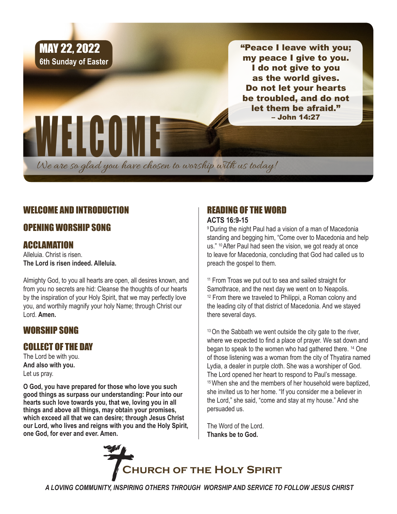

"Peace I leave with you; my peace I give to you. I do not give to you as the world gives. Do not let your hearts be troubled, and do not let them be afraid." – John 14:27

We are so glad you have chosen to worship with us today!

### WELCOME AND INTRODUCTION

WELCOME

### OPENING WORSHIP SONG

#### ACCLAMATION

Alleluia. Christ is risen. **The Lord is risen indeed. Alleluia.**

Almighty God, to you all hearts are open, all desires known, and from you no secrets are hid: Cleanse the thoughts of our hearts by the inspiration of your Holy Spirit, that we may perfectly love you, and worthily magnify your holy Name; through Christ our Lord. **Amen.**

### WORSHIP SONG

#### COLLECT OF THE DAY

The Lord be with you. **And also with you.** Let us pray.

**O God, you have prepared for those who love you such good things as surpass our understanding: Pour into our hearts such love towards you, that we, loving you in all things and above all things, may obtain your promises, which exceed all that we can desire; through Jesus Christ our Lord, who lives and reigns with you and the Holy Spirit, one God, for ever and ever. Amen.**

# READING OF THE WORD

#### **ACTS 16:9-15**

<sup>9</sup> During the night Paul had a vision of a man of Macedonia standing and begging him, "Come over to Macedonia and help us." <sup>10</sup> After Paul had seen the vision, we got ready at once to leave for Macedonia, concluding that God had called us to preach the gospel to them.

<sup>11</sup> From Troas we put out to sea and sailed straight for Samothrace, and the next day we went on to Neapolis. <sup>12</sup> From there we traveled to Philippi, a Roman colony and the leading city of that district of Macedonia. And we stayed there several days.

 $13$  On the Sabbath we went outside the city gate to the river, where we expected to find a place of prayer. We sat down and began to speak to the women who had gathered there. <sup>14</sup> One of those listening was a woman from the city of Thyatira named Lydia, a dealer in purple cloth. She was a worshiper of God. The Lord opened her heart to respond to Paul's message. <sup>15</sup> When she and the members of her household were baptized, she invited us to her home. "If you consider me a believer in the Lord," she said, "come and stay at my house." And she persuaded us.

The Word of the Lord. **Thanks be to God.**



*A LOVING COMMUNITY, INSPIRING OTHERS THROUGH WORSHIP AND SERVICE TO FOLLOW JESUS CHRIST*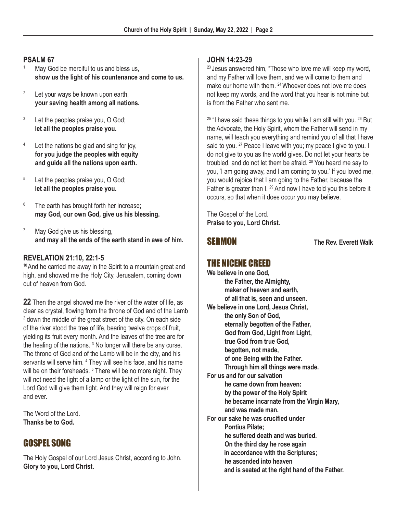#### **PSALM 67**

- May God be merciful to us and bless us. **show us the light of his countenance and come to us.**
- <sup>2</sup> Let your ways be known upon earth, **your saving health among all nations.**
- <sup>3</sup> Let the peoples praise you, O God; **let all the peoples praise you.**
- <sup>4</sup> Let the nations be glad and sing for joy, **for you judge the peoples with equity and guide all the nations upon earth.**
- <sup>5</sup> Let the peoples praise you, O God; **let all the peoples praise you.**
- <sup>6</sup> The earth has brought forth her increase; **may God, our own God, give us his blessing.**
- <sup>7</sup> May God give us his blessing, **and may all the ends of the earth stand in awe of him.**

#### **REVELATION 21:10, 22:1-5**

<sup>10</sup> And he carried me away in the Spirit to a mountain great and high, and showed me the Holy City, Jerusalem, coming down out of heaven from God.

**22** Then the angel showed me the river of the water of life, as clear as crystal, flowing from the throne of God and of the Lamb 2 down the middle of the great street of the city. On each side of the river stood the tree of life, bearing twelve crops of fruit, yielding its fruit every month. And the leaves of the tree are for the healing of the nations.  $3$  No longer will there be any curse. The throne of God and of the Lamb will be in the city, and his servants will serve him. <sup>4</sup> They will see his face, and his name will be on their foreheads. <sup>5</sup> There will be no more night. They will not need the light of a lamp or the light of the sun, for the Lord God will give them light. And they will reign for ever and ever.

The Word of the Lord. **Thanks be to God.**

#### GOSPEL SONG

The Holy Gospel of our Lord Jesus Christ, according to John. **Glory to you, Lord Christ.**

#### **JOHN 14:23-29**

<sup>23</sup> Jesus answered him, "Those who love me will keep my word, and my Father will love them, and we will come to them and make our home with them. 24 Whoever does not love me does not keep my words, and the word that you hear is not mine but is from the Father who sent me.

 $25$  "I have said these things to you while I am still with you.  $26$  But the Advocate, the Holy Spirit, whom the Father will send in my name, will teach you everything and remind you of all that I have said to you. <sup>27</sup> Peace I leave with you; my peace I give to you. I do not give to you as the world gives. Do not let your hearts be troubled, and do not let them be afraid. 28 You heard me say to you, 'I am going away, and I am coming to you.' If you loved me, you would rejoice that I am going to the Father, because the Father is greater than I. <sup>29</sup> And now I have told you this before it occurs, so that when it does occur you may believe.

The Gospel of the Lord. **Praise to you, Lord Christ.**

**SERMON** The Rev. Everett Walk

#### THE NICENE CREED

**We believe in one God, the Father, the Almighty, maker of heaven and earth, of all that is, seen and unseen. We believe in one Lord, Jesus Christ, the only Son of God, eternally begotten of the Father, God from God, Light from Light, true God from true God, begotten, not made, of one Being with the Father. Through him all things were made. For us and for our salvation he came down from heaven: by the power of the Holy Spirit he became incarnate from the Virgin Mary, and was made man. For our sake he was crucified under Pontius Pilate; he suffered death and was buried. On the third day he rose again in accordance with the Scriptures; he ascended into heaven and is seated at the right hand of the Father.**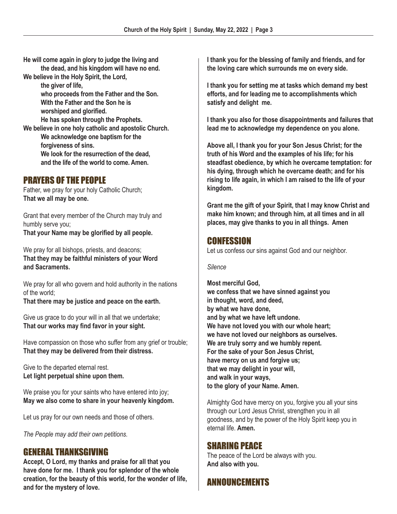**He will come again in glory to judge the living and the dead, and his kingdom will have no end.**

**We believe in the Holy Spirit, the Lord,** 

**the giver of life, who proceeds from the Father and the Son. With the Father and the Son he is worshiped and glorified. He has spoken through the Prophets.**

**We believe in one holy catholic and apostolic Church. We acknowledge one baptism for the forgiveness of sins. We look for the resurrection of the dead, and the life of the world to come. Amen.**

#### PRAYERS OF THE PEOPLE

Father, we pray for your holy Catholic Church; **That we all may be one.**

Grant that every member of the Church may truly and humbly serve you; **That your Name may be glorified by all people.**

We pray for all bishops, priests, and deacons; **That they may be faithful ministers of your Word and Sacraments.**

We pray for all who govern and hold authority in the nations of the world;

**That there may be justice and peace on the earth.**

Give us grace to do your will in all that we undertake; **That our works may find favor in your sight.**

Have compassion on those who suffer from any grief or trouble; **That they may be delivered from their distress.**

Give to the departed eternal rest. **Let light perpetual shine upon them.**

We praise you for your saints who have entered into joy; **May we also come to share in your heavenly kingdom.**

Let us pray for our own needs and those of others.

*The People may add their own petitions.*

#### GENERAL THANKSGIVING

**Accept, O Lord, my thanks and praise for all that you have done for me. I thank you for splendor of the whole creation, for the beauty of this world, for the wonder of life, and for the mystery of love.**

**I thank you for the blessing of family and friends, and for the loving care which surrounds me on every side.**

**I thank you for setting me at tasks which demand my best efforts, and for leading me to accomplishments which satisfy and delight me.** 

**I thank you also for those disappointments and failures that lead me to acknowledge my dependence on you alone.**

**Above all, I thank you for your Son Jesus Christ; for the truth of his Word and the examples of his life; for his steadfast obedience, by which he overcame temptation: for his dying, through which he overcame death; and for his rising to life again, in which I am raised to the life of your kingdom.**

**Grant me the gift of your Spirit, that I may know Christ and make him known; and through him, at all times and in all places, may give thanks to you in all things. Amen** 

#### **CONFESSION**

Let us confess our sins against God and our neighbor.

*Silence* 

**Most merciful God, we confess that we have sinned against you in thought, word, and deed, by what we have done, and by what we have left undone. We have not loved you with our whole heart; we have not loved our neighbors as ourselves. We are truly sorry and we humbly repent. For the sake of your Son Jesus Christ, have mercy on us and forgive us; that we may delight in your will, and walk in your ways, to the glory of your Name. Amen.**

Almighty God have mercy on you, forgive you all your sins through our Lord Jesus Christ, strengthen you in all goodness, and by the power of the Holy Spirit keep you in eternal life. **Amen.**

#### SHARING PEACE

The peace of the Lord be always with you. **And also with you.**

### ANNOUNCEMENTS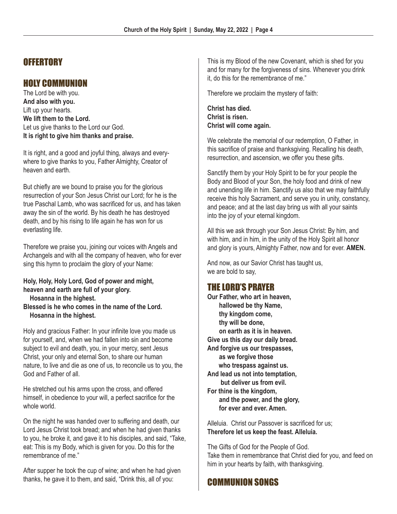#### **OFFERTORY**

#### HOLY COMMUNION

The Lord be with you. **And also with you.** Lift up your hearts. **We lift them to the Lord.** Let us give thanks to the Lord our God. **It is right to give him thanks and praise.**

It is right, and a good and joyful thing, always and everywhere to give thanks to you, Father Almighty, Creator of heaven and earth.

But chiefly are we bound to praise you for the glorious resurrection of your Son Jesus Christ our Lord; for he is the true Paschal Lamb, who was sacrificed for us, and has taken away the sin of the world. By his death he has destroyed death, and by his rising to life again he has won for us everlasting life.

Therefore we praise you, joining our voices with Angels and Archangels and with all the company of heaven, who for ever sing this hymn to proclaim the glory of your Name:

#### **Holy, Holy, Holy Lord, God of power and might, heaven and earth are full of your glory. Hosanna in the highest. Blessed is he who comes in the name of the Lord. Hosanna in the highest.**

Holy and gracious Father: In your infinite love you made us for yourself, and, when we had fallen into sin and become subject to evil and death, you, in your mercy, sent Jesus Christ, your only and eternal Son, to share our human nature, to live and die as one of us, to reconcile us to you, the God and Father of all.

He stretched out his arms upon the cross, and offered himself, in obedience to your will, a perfect sacrifice for the whole world.

On the night he was handed over to suffering and death, our Lord Jesus Christ took bread; and when he had given thanks to you, he broke it, and gave it to his disciples, and said, "Take, eat: This is my Body, which is given for you. Do this for the remembrance of me."

After supper he took the cup of wine; and when he had given thanks, he gave it to them, and said, "Drink this, all of you:

This is my Blood of the new Covenant, which is shed for you and for many for the forgiveness of sins. Whenever you drink it, do this for the remembrance of me."

Therefore we proclaim the mystery of faith:

**Christ has died. Christ is risen. Christ will come again.**

We celebrate the memorial of our redemption, O Father, in this sacrifice of praise and thanksgiving. Recalling his death, resurrection, and ascension, we offer you these gifts.

Sanctify them by your Holy Spirit to be for your people the Body and Blood of your Son, the holy food and drink of new and unending life in him. Sanctify us also that we may faithfully receive this holy Sacrament, and serve you in unity, constancy, and peace; and at the last day bring us with all your saints into the joy of your eternal kingdom.

All this we ask through your Son Jesus Christ: By him, and with him, and in him, in the unity of the Holy Spirit all honor and glory is yours, Almighty Father, now and for ever. **AMEN.**

And now, as our Savior Christ has taught us, we are bold to say,

#### THE LORD'S PRAYER

**Our Father, who art in heaven, hallowed be thy Name, thy kingdom come, thy will be done, on earth as it is in heaven. Give us this day our daily bread. And forgive us our trespasses, as we forgive those who trespass against us. And lead us not into temptation, but deliver us from evil. For thine is the kingdom, and the power, and the glory, for ever and ever. Amen.**

Alleluia. Christ our Passover is sacrificed for us; **Therefore let us keep the feast. Alleluia.**

The Gifts of God for the People of God. Take them in remembrance that Christ died for you, and feed on him in your hearts by faith, with thanksgiving.

#### COMMUNION SONGS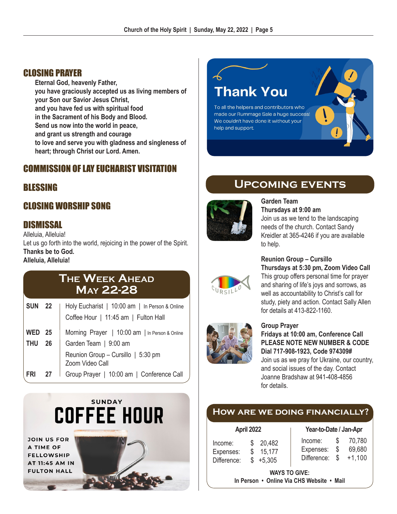#### CLOSING PRAYER

**Eternal God, heavenly Father, you have graciously accepted us as living members of your Son our Savior Jesus Christ, and you have fed us with spiritual food in the Sacrament of his Body and Blood. Send us now into the world in peace, and grant us strength and courage to love and serve you with gladness and singleness of heart; through Christ our Lord. Amen.**

#### COMMISSION OF LAY EUCHARIST VISITATION

#### **BLESSING**

#### CLOSING WORSHIP SONG

#### DISMISSAL

Alleluia, Alleluia! Let us go forth into the world, rejoicing in the power of the Spirit. **Thanks be to God.**

#### **Alleluia, Alleluia!**

## **The Week Ahead May 22-28**

| <b>SUN</b>    | 22 | Holy Eucharist   10:00 am   In Person & Online        |  |  |  |
|---------------|----|-------------------------------------------------------|--|--|--|
|               |    | Coffee Hour   11:45 am   Fulton Hall                  |  |  |  |
| <b>WED 25</b> |    | Morning Prayer   10:00 am   In Person & Online        |  |  |  |
| <b>THU</b>    | 26 | Garden Team   9:00 am                                 |  |  |  |
|               |    | Reunion Group - Cursillo   5:30 pm<br>Zoom Video Call |  |  |  |
| FRI           | 27 | Group Prayer   10:00 am   Conference Call             |  |  |  |



# **Thank You**

To all the helpers and contributors who made our Rummage Sale a huge success! We couldn't have done it without your help and support.

### **Upcoming events**



#### **Garden Team Thursdays at 9:00 am** Join us as we tend to the landscaping needs of the church. Contact Sandy Kreidler at 365-4246 if you are available



#### **Reunion Group – Cursillo Thursdays at 5:30 pm, Zoom Video Call** This group offers personal time for prayer and sharing of life's joys and sorrows, as

well as accountability to Christ's call for study, piety and action. Contact Sally Allen for details at 413-822-1160.

#### **Group Prayer**

to help.

**Fridays at 10:00 am, Conference Call PLEASE NOTE NEW NUMBER & CODE Dial 717-908-1923, Code 974309#**

Join us as we pray for Ukraine, our country, and social issues of the day. Contact Joanne Bradshaw at 941-408-4856 for details.

#### **How are we doing financially?**

|                                     | April 2022 |                               | Year-to-Date / Jan-Apr              |              |                              |  |  |  |
|-------------------------------------|------------|-------------------------------|-------------------------------------|--------------|------------------------------|--|--|--|
| Income:<br>Expenses:<br>Difference: |            | 20,482<br>15,177<br>$$+5,305$ | Income:<br>Expenses:<br>Difference: | S<br>\$<br>S | 70,780<br>69,680<br>$+1,100$ |  |  |  |
| <b>WAYS TO GIVE:</b>                |            |                               |                                     |              |                              |  |  |  |

**In Person • Online Via CHS Website • Mail**